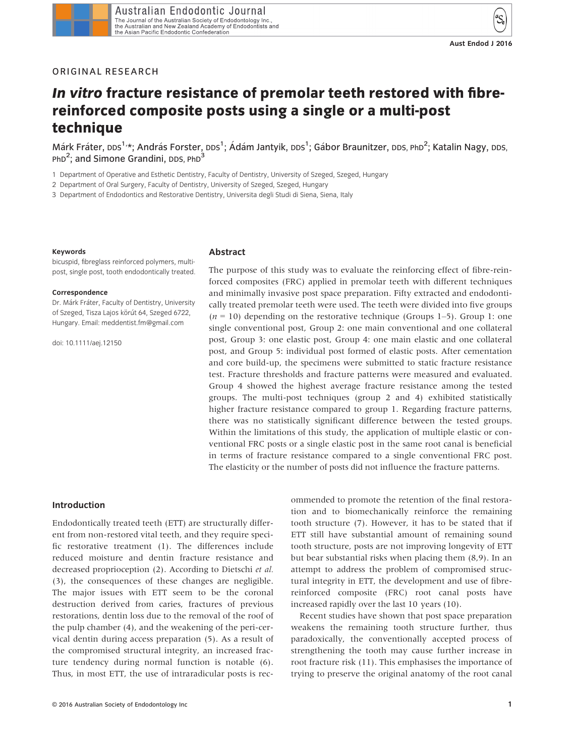## ORIGINAL RESEARCH

# In vitro fracture resistance of premolar teeth restored with fibrereinforced composite posts using a single or a multi-post technique

Márk Fráter, DDS<sup>1,</sup>\*; András Forster, DDS<sup>1</sup>; Ádám Jantyik, DDS<sup>1</sup>; Gábor Braunitzer, DDS, PhD<sup>2</sup>; Katalin Nagy, DDS, PhD<sup>2</sup>; and Simone Grandini, DDS, PhD<sup>3</sup>

1 Department of Operative and Esthetic Dentistry, Faculty of Dentistry, University of Szeged, Szeged, Hungary

2 Department of Oral Surgery, Faculty of Dentistry, University of Szeged, Szeged, Hungary

3 Department of Endodontics and Restorative Dentistry, Universita degli Studi di Siena, Siena, Italy

#### Keywords

#### bicuspid, fibreglass reinforced polymers, multipost, single post, tooth endodontically treated.

#### Correspondence

Dr. Márk Fráter, Faculty of Dentistry, University of Szeged, Tisza Lajos körút 64, Szeged 6722, Hungary. Email: meddentist.fm@gmail.com

doi: 10.1111/aej.12150

#### Abstract

The purpose of this study was to evaluate the reinforcing effect of fibre-reinforced composites (FRC) applied in premolar teeth with different techniques and minimally invasive post space preparation. Fifty extracted and endodontically treated premolar teeth were used. The teeth were divided into five groups  $(n = 10)$  depending on the restorative technique (Groups 1–5). Group 1: one single conventional post, Group 2: one main conventional and one collateral post, Group 3: one elastic post, Group 4: one main elastic and one collateral post, and Group 5: individual post formed of elastic posts. After cementation and core build-up, the specimens were submitted to static fracture resistance test. Fracture thresholds and fracture patterns were measured and evaluated. Group 4 showed the highest average fracture resistance among the tested groups. The multi-post techniques (group 2 and 4) exhibited statistically higher fracture resistance compared to group 1. Regarding fracture patterns, there was no statistically significant difference between the tested groups. Within the limitations of this study, the application of multiple elastic or conventional FRC posts or a single elastic post in the same root canal is beneficial in terms of fracture resistance compared to a single conventional FRC post. The elasticity or the number of posts did not influence the fracture patterns.

#### Introduction

Endodontically treated teeth (ETT) are structurally different from non-restored vital teeth, and they require specific restorative treatment (1). The differences include reduced moisture and dentin fracture resistance and decreased proprioception (2). According to Dietschi et al. (3), the consequences of these changes are negligible. The major issues with ETT seem to be the coronal destruction derived from caries, fractures of previous restorations, dentin loss due to the removal of the roof of the pulp chamber (4), and the weakening of the peri-cervical dentin during access preparation (5). As a result of the compromised structural integrity, an increased fracture tendency during normal function is notable (6). Thus, in most ETT, the use of intraradicular posts is recommended to promote the retention of the final restoration and to biomechanically reinforce the remaining tooth structure (7). However, it has to be stated that if ETT still have substantial amount of remaining sound tooth structure, posts are not improving longevity of ETT but bear substantial risks when placing them (8,9). In an attempt to address the problem of compromised structural integrity in ETT, the development and use of fibrereinforced composite (FRC) root canal posts have increased rapidly over the last 10 years (10).

Recent studies have shown that post space preparation weakens the remaining tooth structure further, thus paradoxically, the conventionally accepted process of strengthening the tooth may cause further increase in root fracture risk (11). This emphasises the importance of trying to preserve the original anatomy of the root canal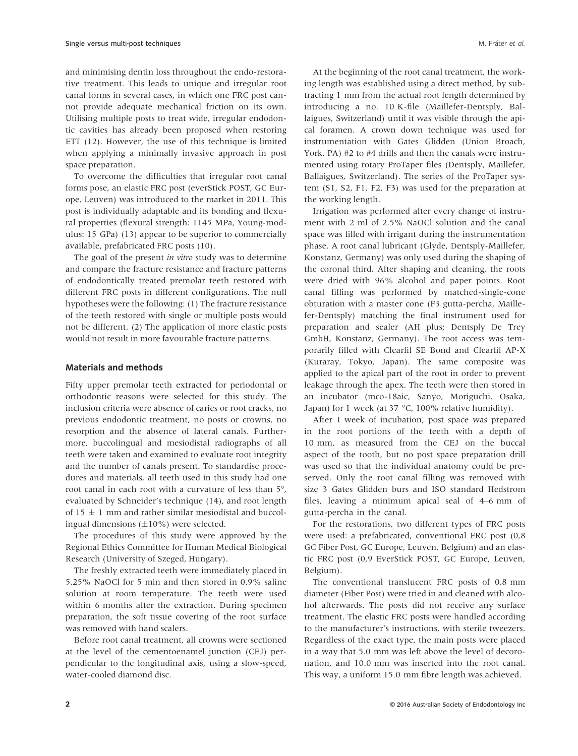and minimising dentin loss throughout the endo-restorative treatment. This leads to unique and irregular root canal forms in several cases, in which one FRC post cannot provide adequate mechanical friction on its own. Utilising multiple posts to treat wide, irregular endodontic cavities has already been proposed when restoring ETT (12). However, the use of this technique is limited when applying a minimally invasive approach in post space preparation.

To overcome the difficulties that irregular root canal forms pose, an elastic FRC post (everStick POST, GC Europe, Leuven) was introduced to the market in 2011. This post is individually adaptable and its bonding and flexural properties (flexural strength: 1145 MPa, Young-modulus: 15 GPa) (13) appear to be superior to commercially available, prefabricated FRC posts (10).

The goal of the present *in vitro* study was to determine and compare the fracture resistance and fracture patterns of endodontically treated premolar teeth restored with different FRC posts in different configurations. The null hypotheses were the following: (1) The fracture resistance of the teeth restored with single or multiple posts would not be different. (2) The application of more elastic posts would not result in more favourable fracture patterns.

#### Materials and methods

Fifty upper premolar teeth extracted for periodontal or orthodontic reasons were selected for this study. The inclusion criteria were absence of caries or root cracks, no previous endodontic treatment, no posts or crowns, no resorption and the absence of lateral canals. Furthermore, buccolingual and mesiodistal radiographs of all teeth were taken and examined to evaluate root integrity and the number of canals present. To standardise procedures and materials, all teeth used in this study had one root canal in each root with a curvature of less than 5°, evaluated by Schneider's technique (14), and root length of 15  $\pm$  1 mm and rather similar mesiodistal and buccolingual dimensions  $(\pm 10\%)$  were selected.

The procedures of this study were approved by the Regional Ethics Committee for Human Medical Biological Research (University of Szeged, Hungary).

The freshly extracted teeth were immediately placed in 5.25% NaOCl for 5 min and then stored in 0.9% saline solution at room temperature. The teeth were used within 6 months after the extraction. During specimen preparation, the soft tissue covering of the root surface was removed with hand scalers.

Before root canal treatment, all crowns were sectioned at the level of the cementoenamel junction (CEJ) perpendicular to the longitudinal axis, using a slow-speed, water-cooled diamond disc.

At the beginning of the root canal treatment, the working length was established using a direct method, by subtracting 1 mm from the actual root length determined by introducing a no. 10 K-file (Maillefer-Dentsply, Ballaigues, Switzerland) until it was visible through the apical foramen. A crown down technique was used for instrumentation with Gates Glidden (Union Broach, York, PA) #2 to #4 drills and then the canals were instrumented using rotary ProTaper files (Dentsply, Maillefer, Ballaigues, Switzerland). The series of the ProTaper system (S1, S2, F1, F2, F3) was used for the preparation at the working length.

Irrigation was performed after every change of instrument with 2 ml of 2.5% NaOCl solution and the canal space was filled with irrigant during the instrumentation phase. A root canal lubricant (Glyde, Dentsply-Maillefer, Konstanz, Germany) was only used during the shaping of the coronal third. After shaping and cleaning, the roots were dried with 96% alcohol and paper points. Root canal filling was performed by matched-single-cone obturation with a master cone (F3 gutta-percha, Maillefer-Dentsply) matching the final instrument used for preparation and sealer (AH plus; Dentsply De Trey GmbH, Konstanz, Germany). The root access was temporarily filled with Clearfil SE Bond and Clearfil AP-X (Kuraray, Tokyo, Japan). The same composite was applied to the apical part of the root in order to prevent leakage through the apex. The teeth were then stored in an incubator (mco-18aic, Sanyo, Moriguchi, Osaka, Japan) for 1 week (at 37 °C, 100% relative humidity).

After 1 week of incubation, post space was prepared in the root portions of the teeth with a depth of 10 mm, as measured from the CEJ on the buccal aspect of the tooth, but no post space preparation drill was used so that the individual anatomy could be preserved. Only the root canal filling was removed with size 3 Gates Glidden burs and ISO standard Hedstrom files, leaving a minimum apical seal of 4–6 mm of gutta-percha in the canal.

For the restorations, two different types of FRC posts were used: a prefabricated, conventional FRC post (0,8 GC Fiber Post, GC Europe, Leuven, Belgium) and an elastic FRC post (0,9 EverStick POST, GC Europe, Leuven, Belgium).

The conventional translucent FRC posts of 0.8 mm diameter (Fiber Post) were tried in and cleaned with alcohol afterwards. The posts did not receive any surface treatment. The elastic FRC posts were handled according to the manufacturer's instructions, with sterile tweezers. Regardless of the exact type, the main posts were placed in a way that 5.0 mm was left above the level of decoronation, and 10.0 mm was inserted into the root canal. This way, a uniform 15.0 mm fibre length was achieved.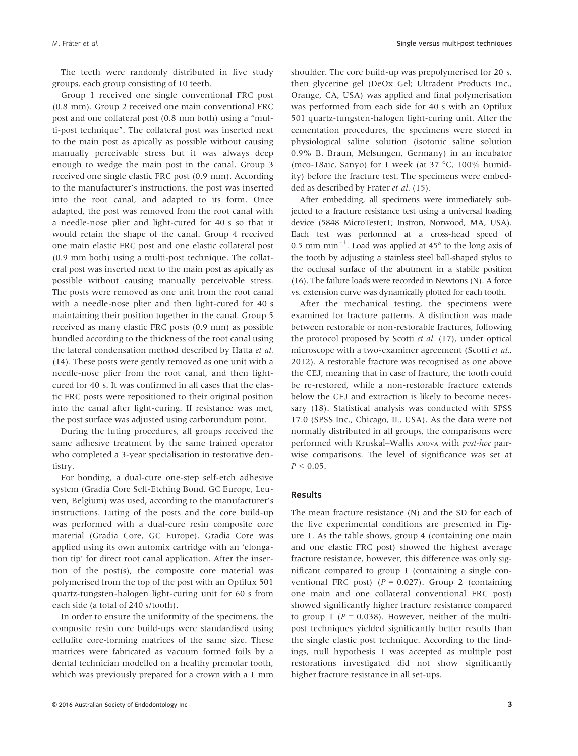The teeth were randomly distributed in five study groups, each group consisting of 10 teeth.

Group 1 received one single conventional FRC post (0.8 mm). Group 2 received one main conventional FRC post and one collateral post (0.8 mm both) using a "multi-post technique". The collateral post was inserted next to the main post as apically as possible without causing manually perceivable stress but it was always deep enough to wedge the main post in the canal. Group 3 received one single elastic FRC post (0.9 mm). According to the manufacturer's instructions, the post was inserted into the root canal, and adapted to its form. Once adapted, the post was removed from the root canal with a needle-nose plier and light-cured for 40 s so that it would retain the shape of the canal. Group 4 received one main elastic FRC post and one elastic collateral post (0.9 mm both) using a multi-post technique. The collateral post was inserted next to the main post as apically as possible without causing manually perceivable stress. The posts were removed as one unit from the root canal with a needle-nose plier and then light-cured for 40 s maintaining their position together in the canal. Group 5 received as many elastic FRC posts (0.9 mm) as possible bundled according to the thickness of the root canal using the lateral condensation method described by Hatta et al. (14). These posts were gently removed as one unit with a needle-nose plier from the root canal, and then lightcured for 40 s. It was confirmed in all cases that the elastic FRC posts were repositioned to their original position into the canal after light-curing. If resistance was met, the post surface was adjusted using carborundum point.

During the luting procedures, all groups received the same adhesive treatment by the same trained operator who completed a 3-year specialisation in restorative dentistry.

For bonding, a dual-cure one-step self-etch adhesive system (Gradia Core Self-Etching Bond, GC Europe, Leuven, Belgium) was used, according to the manufacturer's instructions. Luting of the posts and the core build-up was performed with a dual-cure resin composite core material (Gradia Core, GC Europe). Gradia Core was applied using its own automix cartridge with an 'elongation tip' for direct root canal application. After the insertion of the post(s), the composite core material was polymerised from the top of the post with an Optilux 501 quartz-tungsten-halogen light-curing unit for 60 s from each side (a total of 240 s/tooth).

In order to ensure the uniformity of the specimens, the composite resin core build-ups were standardised using cellulite core-forming matrices of the same size. These matrices were fabricated as vacuum formed foils by a dental technician modelled on a healthy premolar tooth, which was previously prepared for a crown with a 1 mm shoulder. The core build-up was prepolymerised for 20 s, then glycerine gel (DeOx Gel; Ultradent Products Inc., Orange, CA, USA) was applied and final polymerisation was performed from each side for 40 s with an Optilux 501 quartz-tungsten-halogen light-curing unit. After the cementation procedures, the specimens were stored in physiological saline solution (isotonic saline solution 0.9% B. Braun, Melsungen, Germany) in an incubator (mco-18aic, Sanyo) for 1 week (at 37 °C, 100% humidity) before the fracture test. The specimens were embedded as described by Frater et al. (15).

After embedding, all specimens were immediately subjected to a fracture resistance test using a universal loading device (5848 MicroTester1; Instron, Norwood, MA, USA). Each test was performed at a cross-head speed of 0.5 mm  $min^{-1}$ . Load was applied at 45 $\degree$  to the long axis of the tooth by adjusting a stainless steel ball-shaped stylus to the occlusal surface of the abutment in a stabile position (16). The failure loads were recorded in Newtons (N). A force vs. extension curve was dynamically plotted for each tooth.

After the mechanical testing, the specimens were examined for fracture patterns. A distinction was made between restorable or non-restorable fractures, following the protocol proposed by Scotti et al. (17), under optical microscope with a two-examiner agreement (Scotti et al., 2012). A restorable fracture was recognised as one above the CEJ, meaning that in case of fracture, the tooth could be re-restored, while a non-restorable fracture extends below the CEJ and extraction is likely to become necessary (18). Statistical analysis was conducted with SPSS 17.0 (SPSS Inc., Chicago, IL, USA). As the data were not normally distributed in all groups, the comparisons were performed with Kruskal–Wallis ANOVA with post-hoc pairwise comparisons. The level of significance was set at  $P < 0.05$ .

#### Results

The mean fracture resistance (N) and the SD for each of the five experimental conditions are presented in Figure 1. As the table shows, group 4 (containing one main and one elastic FRC post) showed the highest average fracture resistance, however, this difference was only significant compared to group 1 (containing a single conventional FRC post)  $(P = 0.027)$ . Group 2 (containing one main and one collateral conventional FRC post) showed significantly higher fracture resistance compared to group 1 ( $P = 0.038$ ). However, neither of the multipost techniques yielded significantly better results than the single elastic post technique. According to the findings, null hypothesis 1 was accepted as multiple post restorations investigated did not show significantly higher fracture resistance in all set-ups.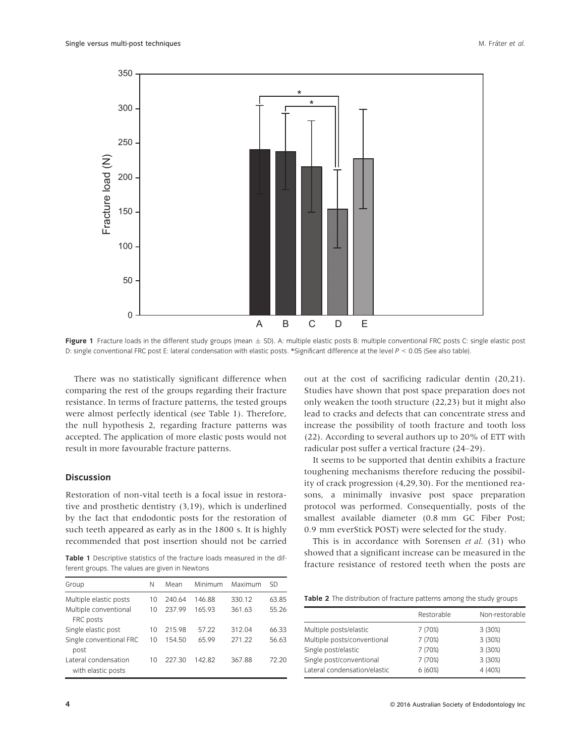

Figure 1 Fracture loads in the different study groups (mean  $\pm$  SD). A: multiple elastic posts B: multiple conventional FRC posts C: single elastic post D: single conventional FRC post E: lateral condensation with elastic posts. \*Significant difference at the level  $P < 0.05$  (See also table).

There was no statistically significant difference when comparing the rest of the groups regarding their fracture resistance. In terms of fracture patterns, the tested groups were almost perfectly identical (see Table 1). Therefore, the null hypothesis 2, regarding fracture patterns was accepted. The application of more elastic posts would not result in more favourable fracture patterns.

## Discussion

Restoration of non-vital teeth is a focal issue in restorative and prosthetic dentistry (3,19), which is underlined by the fact that endodontic posts for the restoration of such teeth appeared as early as in the 1800 s. It is highly recommended that post insertion should not be carried

Table 1 Descriptive statistics of the fracture loads measured in the different groups. The values are given in Newtons

| Group                                      | Ν  | Mean   | Minimum | Maximum | <b>SD</b> |
|--------------------------------------------|----|--------|---------|---------|-----------|
| Multiple elastic posts                     | 10 | 240.64 | 146.88  | 330.12  | 63.85     |
| Multiple conventional<br>FRC posts         | 10 | 237 99 | 165.93  | 361.63  | 55.26     |
| Single elastic post                        | 10 | 21598  | 57 22   | 312.04  | 66.33     |
| Single conventional FRC<br>post            | 10 | 154 50 | 6599    | 271 22  | 56.63     |
| Lateral condensation<br>with elastic posts | 10 | 227.30 | 14282   | 367.88  | 72.20     |

out at the cost of sacrificing radicular dentin (20,21). Studies have shown that post space preparation does not only weaken the tooth structure (22,23) but it might also lead to cracks and defects that can concentrate stress and increase the possibility of tooth fracture and tooth loss (22). According to several authors up to 20% of ETT with radicular post suffer a vertical fracture (24–29).

It seems to be supported that dentin exhibits a fracture toughening mechanisms therefore reducing the possibility of crack progression (4,29,30). For the mentioned reasons, a minimally invasive post space preparation protocol was performed. Consequentially, posts of the smallest available diameter (0.8 mm GC Fiber Post; 0.9 mm everStick POST) were selected for the study.

This is in accordance with Sorensen et al. (31) who showed that a significant increase can be measured in the fracture resistance of restored teeth when the posts are

Table 2 The distribution of fracture patterns among the study groups

|                              | Restorable | Non-restorable |
|------------------------------|------------|----------------|
| Multiple posts/elastic       | 7 (70%)    | 3(30%)         |
| Multiple posts/conventional  | 7 (70%)    | 3 (30%)        |
| Single post/elastic          | 7 (70%)    | 3 (30%)        |
| Single post/conventional     | 7 (70%)    | 3 (30%)        |
| Lateral condensation/elastic | 6(60%)     | 4 (40%)        |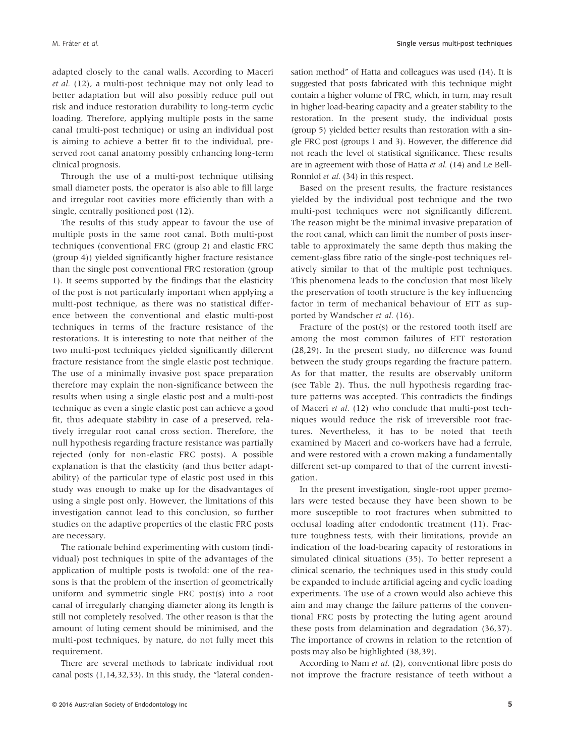M. Fráter et al. **Single versus multi-post techniques** M. Fráter et al. Single versus multi-post techniques

adapted closely to the canal walls. According to Maceri et al. (12), a multi-post technique may not only lead to better adaptation but will also possibly reduce pull out risk and induce restoration durability to long-term cyclic loading. Therefore, applying multiple posts in the same canal (multi-post technique) or using an individual post is aiming to achieve a better fit to the individual, preserved root canal anatomy possibly enhancing long-term clinical prognosis.

Through the use of a multi-post technique utilising small diameter posts, the operator is also able to fill large and irregular root cavities more efficiently than with a single, centrally positioned post (12).

The results of this study appear to favour the use of multiple posts in the same root canal. Both multi-post techniques (conventional FRC (group 2) and elastic FRC (group 4)) yielded significantly higher fracture resistance than the single post conventional FRC restoration (group 1). It seems supported by the findings that the elasticity of the post is not particularly important when applying a multi-post technique, as there was no statistical difference between the conventional and elastic multi-post techniques in terms of the fracture resistance of the restorations. It is interesting to note that neither of the two multi-post techniques yielded significantly different fracture resistance from the single elastic post technique. The use of a minimally invasive post space preparation therefore may explain the non-significance between the results when using a single elastic post and a multi-post technique as even a single elastic post can achieve a good fit, thus adequate stability in case of a preserved, relatively irregular root canal cross section. Therefore, the null hypothesis regarding fracture resistance was partially rejected (only for non-elastic FRC posts). A possible explanation is that the elasticity (and thus better adaptability) of the particular type of elastic post used in this study was enough to make up for the disadvantages of using a single post only. However, the limitations of this investigation cannot lead to this conclusion, so further studies on the adaptive properties of the elastic FRC posts are necessary.

The rationale behind experimenting with custom (individual) post techniques in spite of the advantages of the application of multiple posts is twofold: one of the reasons is that the problem of the insertion of geometrically uniform and symmetric single FRC post(s) into a root canal of irregularly changing diameter along its length is still not completely resolved. The other reason is that the amount of luting cement should be minimised, and the multi-post techniques, by nature, do not fully meet this requirement.

There are several methods to fabricate individual root canal posts (1,14,32,33). In this study, the "lateral condensation method" of Hatta and colleagues was used (14). It is suggested that posts fabricated with this technique might contain a higher volume of FRC, which, in turn, may result in higher load-bearing capacity and a greater stability to the restoration. In the present study, the individual posts (group 5) yielded better results than restoration with a single FRC post (groups 1 and 3). However, the difference did not reach the level of statistical significance. These results are in agreement with those of Hatta et al. (14) and Le Bell-Ronnlof et al. (34) in this respect.

Based on the present results, the fracture resistances yielded by the individual post technique and the two multi-post techniques were not significantly different. The reason might be the minimal invasive preparation of the root canal, which can limit the number of posts insertable to approximately the same depth thus making the cement-glass fibre ratio of the single-post techniques relatively similar to that of the multiple post techniques. This phenomena leads to the conclusion that most likely the preservation of tooth structure is the key influencing factor in term of mechanical behaviour of ETT as supported by Wandscher et al. (16).

Fracture of the post(s) or the restored tooth itself are among the most common failures of ETT restoration (28,29). In the present study, no difference was found between the study groups regarding the fracture pattern. As for that matter, the results are observably uniform (see Table 2). Thus, the null hypothesis regarding fracture patterns was accepted. This contradicts the findings of Maceri et al. (12) who conclude that multi-post techniques would reduce the risk of irreversible root fractures. Nevertheless, it has to be noted that teeth examined by Maceri and co-workers have had a ferrule, and were restored with a crown making a fundamentally different set-up compared to that of the current investigation.

In the present investigation, single-root upper premolars were tested because they have been shown to be more susceptible to root fractures when submitted to occlusal loading after endodontic treatment (11). Fracture toughness tests, with their limitations, provide an indication of the load-bearing capacity of restorations in simulated clinical situations (35). To better represent a clinical scenario, the techniques used in this study could be expanded to include artificial ageing and cyclic loading experiments. The use of a crown would also achieve this aim and may change the failure patterns of the conventional FRC posts by protecting the luting agent around these posts from delamination and degradation (36,37). The importance of crowns in relation to the retention of posts may also be highlighted (38,39).

According to Nam et al. (2), conventional fibre posts do not improve the fracture resistance of teeth without a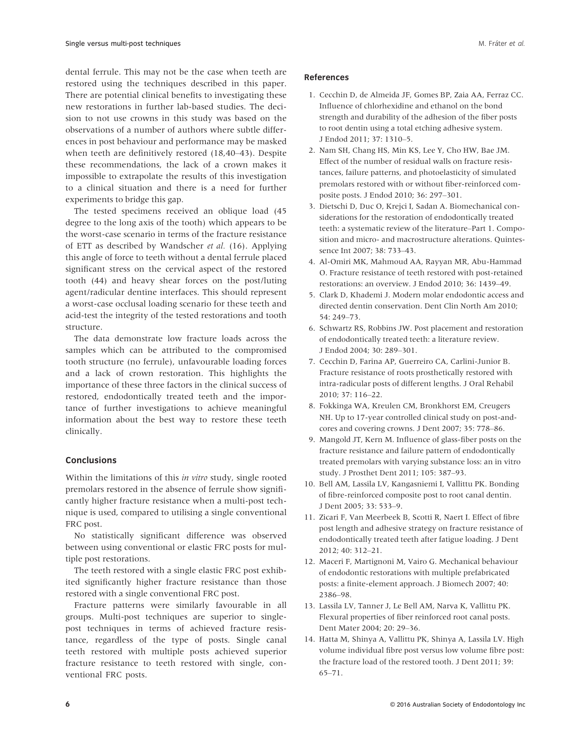dental ferrule. This may not be the case when teeth are restored using the techniques described in this paper. There are potential clinical benefits to investigating these new restorations in further lab-based studies. The decision to not use crowns in this study was based on the observations of a number of authors where subtle differences in post behaviour and performance may be masked when teeth are definitively restored (18,40–43). Despite these recommendations, the lack of a crown makes it impossible to extrapolate the results of this investigation to a clinical situation and there is a need for further experiments to bridge this gap.

The tested specimens received an oblique load (45 degree to the long axis of the tooth) which appears to be the worst-case scenario in terms of the fracture resistance of ETT as described by Wandscher et al. (16). Applying this angle of force to teeth without a dental ferrule placed significant stress on the cervical aspect of the restored tooth (44) and heavy shear forces on the post/luting agent/radicular dentine interfaces. This should represent a worst-case occlusal loading scenario for these teeth and acid-test the integrity of the tested restorations and tooth structure.

The data demonstrate low fracture loads across the samples which can be attributed to the compromised tooth structure (no ferrule), unfavourable loading forces and a lack of crown restoration. This highlights the importance of these three factors in the clinical success of restored, endodontically treated teeth and the importance of further investigations to achieve meaningful information about the best way to restore these teeth clinically.

## Conclusions

Within the limitations of this in vitro study, single rooted premolars restored in the absence of ferrule show significantly higher fracture resistance when a multi-post technique is used, compared to utilising a single conventional FRC post.

No statistically significant difference was observed between using conventional or elastic FRC posts for multiple post restorations.

The teeth restored with a single elastic FRC post exhibited significantly higher fracture resistance than those restored with a single conventional FRC post.

Fracture patterns were similarly favourable in all groups. Multi-post techniques are superior to singlepost techniques in terms of achieved fracture resistance, regardless of the type of posts. Single canal teeth restored with multiple posts achieved superior fracture resistance to teeth restored with single, conventional FRC posts.

### References

- 1. Cecchin D, de Almeida JF, Gomes BP, Zaia AA, Ferraz CC. Influence of chlorhexidine and ethanol on the bond strength and durability of the adhesion of the fiber posts to root dentin using a total etching adhesive system. J Endod 2011; 37: 1310–5.
- 2. Nam SH, Chang HS, Min KS, Lee Y, Cho HW, Bae JM. Effect of the number of residual walls on fracture resistances, failure patterns, and photoelasticity of simulated premolars restored with or without fiber-reinforced composite posts. J Endod 2010; 36: 297–301.
- 3. Dietschi D, Duc O, Krejci I, Sadan A. Biomechanical considerations for the restoration of endodontically treated teeth: a systematic review of the literature–Part 1. Composition and micro- and macrostructure alterations. Quintessence Int 2007; 38: 733–43.
- 4. Al-Omiri MK, Mahmoud AA, Rayyan MR, Abu-Hammad O. Fracture resistance of teeth restored with post-retained restorations: an overview. J Endod 2010; 36: 1439–49.
- 5. Clark D, Khademi J. Modern molar endodontic access and directed dentin conservation. Dent Clin North Am 2010; 54: 249–73.
- 6. Schwartz RS, Robbins JW. Post placement and restoration of endodontically treated teeth: a literature review. J Endod 2004; 30: 289–301.
- 7. Cecchin D, Farina AP, Guerreiro CA, Carlini-Junior B. Fracture resistance of roots prosthetically restored with intra-radicular posts of different lengths. J Oral Rehabil 2010; 37: 116–22.
- 8. Fokkinga WA, Kreulen CM, Bronkhorst EM, Creugers NH. Up to 17-year controlled clinical study on post-andcores and covering crowns. J Dent 2007; 35: 778–86.
- 9. Mangold JT, Kern M. Influence of glass-fiber posts on the fracture resistance and failure pattern of endodontically treated premolars with varying substance loss: an in vitro study. J Prosthet Dent 2011; 105: 387–93.
- 10. Bell AM, Lassila LV, Kangasniemi I, Vallittu PK. Bonding of fibre-reinforced composite post to root canal dentin. J Dent 2005; 33: 533–9.
- 11. Zicari F, Van Meerbeek B, Scotti R, Naert I. Effect of fibre post length and adhesive strategy on fracture resistance of endodontically treated teeth after fatigue loading. J Dent 2012; 40: 312–21.
- 12. Maceri F, Martignoni M, Vairo G. Mechanical behaviour of endodontic restorations with multiple prefabricated posts: a finite-element approach. J Biomech 2007; 40: 2386–98.
- 13. Lassila LV, Tanner J, Le Bell AM, Narva K, Vallittu PK. Flexural properties of fiber reinforced root canal posts. Dent Mater 2004; 20: 29–36.
- 14. Hatta M, Shinya A, Vallittu PK, Shinya A, Lassila LV. High volume individual fibre post versus low volume fibre post: the fracture load of the restored tooth. J Dent 2011; 39: 65–71.